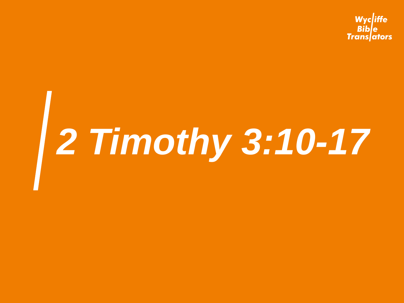Wycliffe **Bible Trans**ators

## *2 Timothy 3:10-17*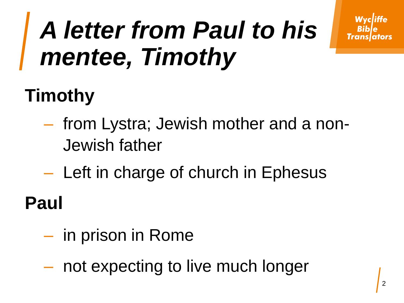#### *A letter from Paul to his mentee, Timothy*

#### **Timothy**

- from Lystra; Jewish mother and a non-Jewish father
- Left in charge of church in Ephesus

**Paul** 

- in prison in Rome
- not expecting to live much longer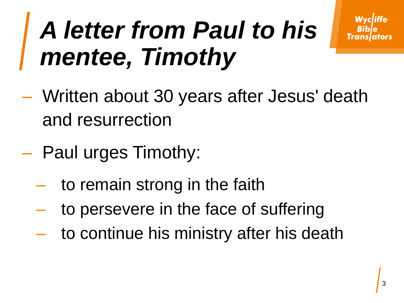#### *A letter from Paul to his mentee, Timothy*

- Written about 30 years after Jesus' death and resurrection
- Paul urges Timothy:
	- to remain strong in the faith
	- to persevere in the face of suffering
	- to continue his ministry after his death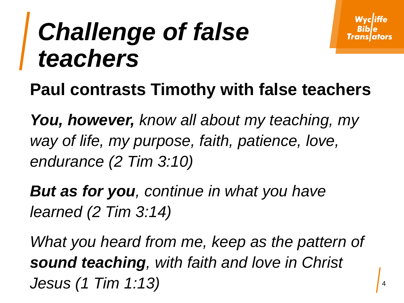#### *Challenge of false teachers*

#### **Paul contrasts Timothy with false teachers**

*You, however, know all about my teaching, my way of life, my purpose, faith, patience, love, endurance (2 Tim 3:10)*

*But as for you, continue in what you have learned (2 Tim 3:14)*

*What you heard from me, keep as the pattern of sound teaching, with faith and love in Christ Jesus (1 Tim 1:13)*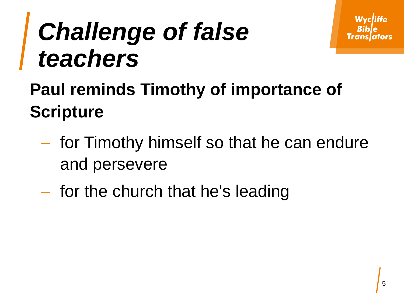#### *Challenge of false teachers*

#### **Paul reminds Timothy of importance of Scripture**

- for Timothy himself so that he can endure and persevere
- for the church that he's leading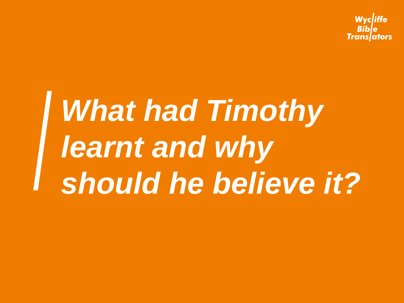Wvcliffe Translators

## *What had Timothy learnt and why should he believe it?*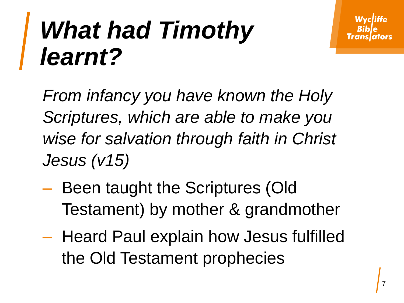#### *What had Timothy learnt?*

*From infancy you have known the Holy Scriptures, which are able to make you wise for salvation through faith in Christ Jesus (v15)*

- Been taught the Scriptures (Old Testament) by mother & grandmother
- Heard Paul explain how Jesus fulfilled the Old Testament prophecies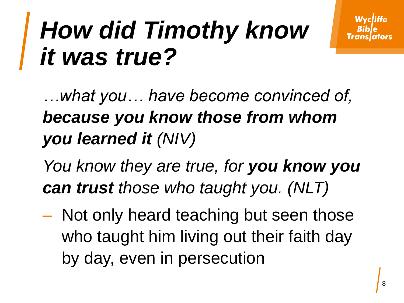#### *How did Timothy know it was true?*

*…what you… have become convinced of, because you know those from whom you learned it (NIV)*

*You know they are true, for you know you can trust those who taught you. (NLT)*

– Not only heard teaching but seen those who taught him living out their faith day by day, even in persecution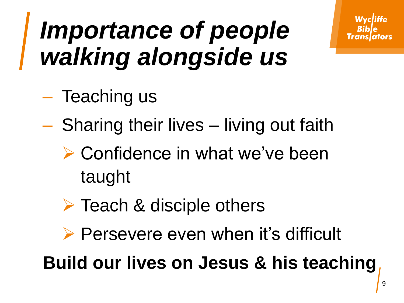#### *Importance of people walking alongside us*

- Teaching us
- Sharing their lives living out faith
	- ▶ Confidence in what we've been taught
	- $\triangleright$  Teach & disciple others
	- ▶ Persevere even when it's difficult

**Build our lives on Jesus & his teaching**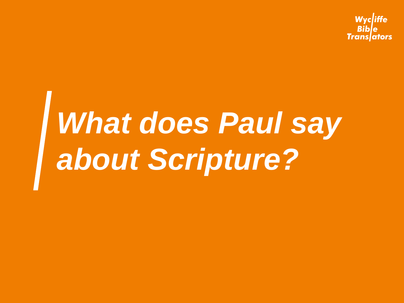Wycliffe **Translators** 

## *What does Paul say about Scripture?*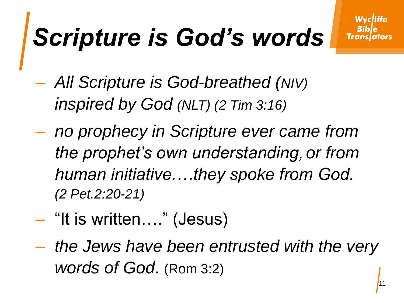### *Scripture is God's words*

- *All Scripture is God-breathed (NIV) inspired by God (NLT) (2 Tim 3:16)*
- *no prophecy in Scripture ever came from the prophet's own understanding, or from human initiative.…they spoke from God. (2 Pet.2:20-21)*
- "It is written…." (Jesus)
- *the Jews have been entrusted with the very words of God*. (Rom 3:2)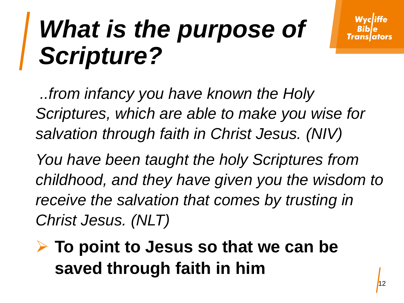*..from infancy you have known the Holy Scriptures, which are able to make you wise for salvation through faith in Christ Jesus. (NIV)*

*You have been taught the holy Scriptures from childhood, and they have given you the wisdom to receive the salvation that comes by trusting in Christ Jesus. (NLT)*

 **To point to Jesus so that we can be saved through faith in him**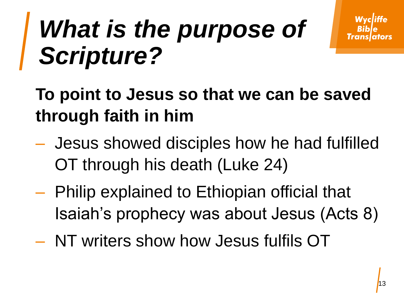**To point to Jesus so that we can be saved through faith in him**

- Jesus showed disciples how he had fulfilled OT through his death (Luke 24)
- Philip explained to Ethiopian official that Isaiah's prophecy was about Jesus (Acts 8)
- NT writers show how Jesus fulfils OT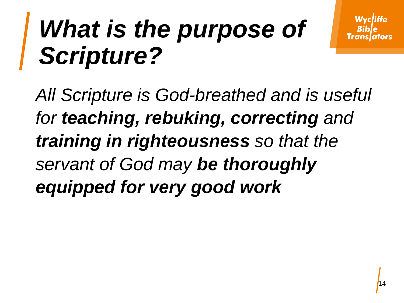*All Scripture is God-breathed and is useful for teaching, rebuking, correcting and training in righteousness so that the servant of God may be thoroughly equipped for very good work*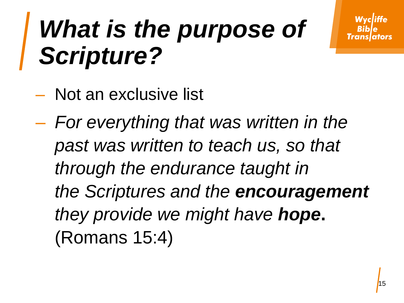- Not an exclusive list
- *For everything that was written in the past was written to teach us, so that through the endurance taught in the Scriptures and the encouragement they provide we might have hope***.** (Romans 15:4)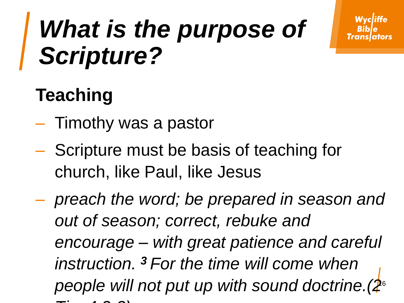#### **Teaching**

- Timothy was a pastor
- Scripture must be basis of teaching for church, like Paul, like Jesus
- people will not put up with sound doctrine.(2<sup>6</sup> – *preach the word; be prepared in season and out of season; correct, rebuke and encourage – with great patience and careful instruction. <sup>3</sup> For the time will come when Tim 4:2-3)*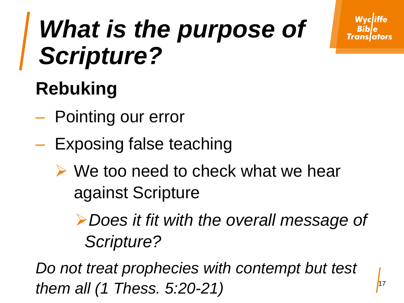#### **Rebuking**

- Pointing our error
- Exposing false teaching
	- $\triangleright$  We too need to check what we hear against Scripture

*Does it fit with the overall message of Scripture?*

*Do not treat prophecies with contempt but test them all (1 Thess. 5:20-21)*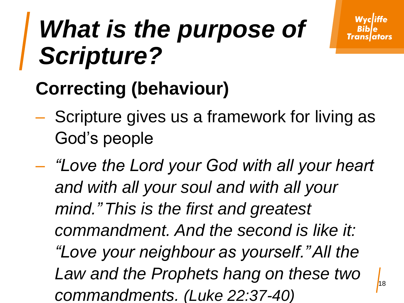#### **Correcting (behaviour)**

- Scripture gives us a framework for living as God's people
- 18 – *"Love the Lord your God with all your heart and with all your soul and with all your mind." This is the first and greatest commandment. And the second is like it: "Love your neighbour as yourself."All the Law and the Prophets hang on these two commandments. (Luke 22:37-40)*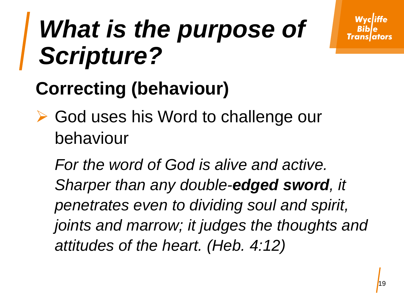#### **Correcting (behaviour)**

**► God uses his Word to challenge our** behaviour

*For the word of God is alive and active. Sharper than any double-edged sword, it penetrates even to dividing soul and spirit, joints and marrow; it judges the thoughts and attitudes of the heart. (Heb. 4:12)*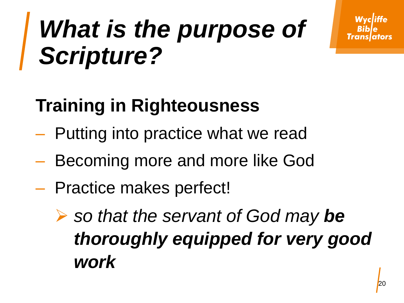#### **Training in Righteousness**

- Putting into practice what we read
- Becoming more and more like God
- Practice makes perfect!
	- **►** so that the servant of God may be *thoroughly equipped for very good work*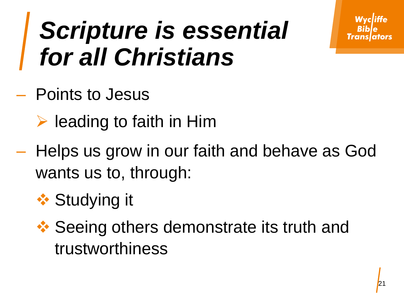#### *Scripture is essential for all Christians*

- Points to Jesus
	- $\triangleright$  leading to faith in Him
- Helps us grow in our faith and behave as God wants us to, through:
	- **❖ Studying it**
	- **❖ Seeing others demonstrate its truth and** trustworthiness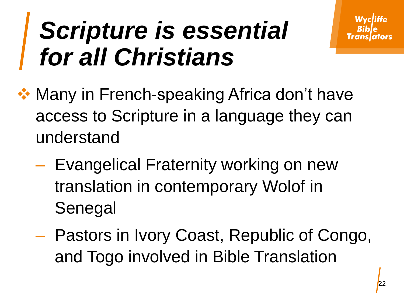#### *Scripture is essential for all Christians*

- **❖ Many in French-speaking Africa don't have** access to Scripture in a language they can understand
	- Evangelical Fraternity working on new translation in contemporary Wolof in Senegal
	- Pastors in Ivory Coast, Republic of Congo, and Togo involved in Bible Translation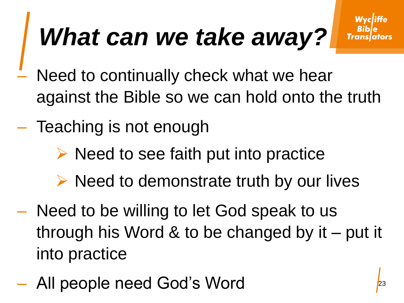#### *What can we take away?*

- Need to continually check what we hear against the Bible so we can hold onto the truth
- Teaching is not enough
	- $\triangleright$  Need to see faith put into practice
	- $\triangleright$  Need to demonstrate truth by our lives
- Need to be willing to let God speak to us through his Word & to be changed by it – put it into practice
- All people need God's Word